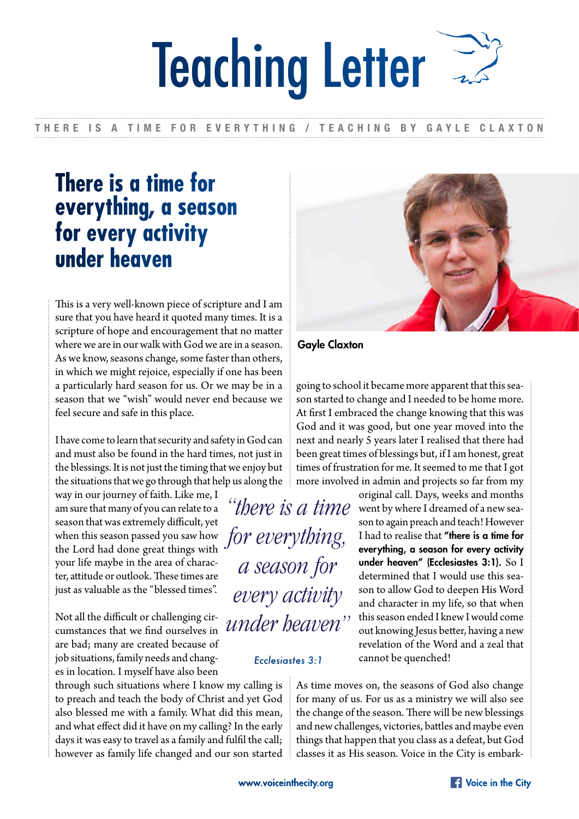# Teaching Letter

#### THERE IS A TIME FOR EVERYTHING / TEACHING BY GAYLE CLAXTON

## **There is a time for everything, a season for every activity under heaven**

This is a very well-known piece of scripture and I am sure that you have heard it quoted many times. It is a scripture of hope and encouragement that no matter where we are in our walk with God we are in a season. As we know, seasons change, some faster than others, in which we might rejoice, especially if one has been a particularly hard season for us. Or we may be in a season that we "wish" would never end because we feel secure and safe in this place.

I have come to learn that security and safety in God can and must also be found in the hard times, not just in the blessings. It is not just the timing that we enjoy but the situations that we go through that help us along the

way in our journey of faith. Like me, I am sure that many of you can relate to a season that was extremely difficult, yet when this season passed you saw how the Lord had done great things with your life maybe in the area of character, attitude or outlook. These times are just as valuable as the "blessed times".

Not all the difficult or challenging circumstances that we find ourselves in are bad; many are created because of job situations, family needs and changes in location. I myself have also been

through such situations where I know my calling is to preach and teach the body of Christ and yet God also blessed me with a family. What did this mean, and what effect did it have on my calling? In the early days it was easy to travel as a family and fulfil the call; however as family life changed and our son started



Gayle Claxton

going to school it became more apparent that this season started to change and I needed to be home more. At first I embraced the change knowing that this was God and it was good, but one year moved into the next and nearly 5 years later I realised that there had been great times of blessings but, if I am honest, great times of frustration for me. It seemed to me that I got more involved in admin and projects so far from my

original call. Days, weeks and months "there is a time went by where I dreamed of a new season to again preach and teach! However I had to realise that "there is a time for everything, a season for every activity under heaven" (Ecclesiastes 3:1). So I determined that I would use this season to allow God to deepen His Word and character in my life, so that when this season ended I knew I would come out knowing Jesus better, having a new revelation of the Word and a zeal that cannot be quenched!

> As time moves on, the seasons of God also change for many of us. For us as a ministry we will also see the change of the season. There will be new blessings and new challenges, victories, battles and maybe even things that happen that you class as a defeat, but God classes it as His season. Voice in the City is embark-

*for everything,* 

*a season for* 

*every activity* 

*under heaven"*

*Ecclesiastes 3:1*